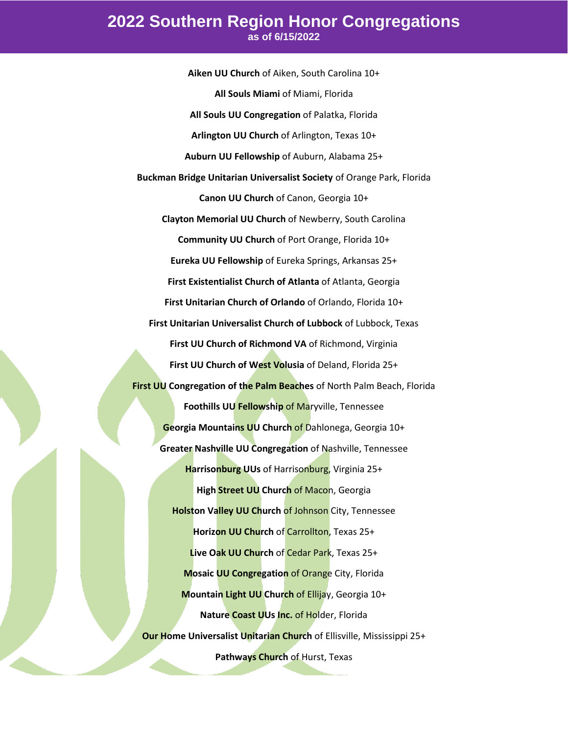**Aiken UU Church** of Aiken, South Carolina 10+ **All Souls Miami** of Miami, Florida **All Souls UU Congregation** of Palatka, Florida **Arlington UU Church** of Arlington, Texas 10+ **Auburn UU Fellowship** of Auburn, Alabama 25+ **Buckman Bridge Unitarian Universalist Society** of Orange Park, Florida **Canon UU Church** of Canon, Georgia 10+ **Clayton Memorial UU Church** of Newberry, South Carolina **Community UU Church** of Port Orange, Florida 10+ **Eureka UU Fellowship** of Eureka Springs, Arkansas 25+ **First Existentialist Church of Atlanta** of Atlanta, Georgia **First Unitarian Church of Orlando** of Orlando, Florida 10+ **First Unitarian Universalist Church of Lubbock** of Lubbock, Texas **First UU Church of Richmond VA** of Richmond, Virginia **First UU Church of West Volusia** of Deland, Florida 25+ **First UU Congregation of the Palm Beaches** of North Palm Beach, Florida **Foothills UU Fellowship** of Maryville, Tennessee **Georgia Mountains UU Church** of Dahlonega, Georgia 10+ **Greater Nashville UU Congregation** of Nashville, Tennessee **Harrisonburg UUs** of Harrisonburg, Virginia 25+ **High Street UU Church of Macon, Georgia Holston Valley UU Church of Johnson** City, Tennessee **Horizon UU Church** of Carrollton, Texas 25+ **Live Oak UU Church** of Cedar Park, Texas 25+ **Mosaic UU Congregation** of Orange City, Florida **Mountain Light UU Church** of Ellijay, Georgia 10+ **Nature Coast UUs Inc.** of Holder, Florida **Our Home Universalist Unitarian Church** of Ellisville, Mississippi 25+ **Pathways Church** of Hurst, Texas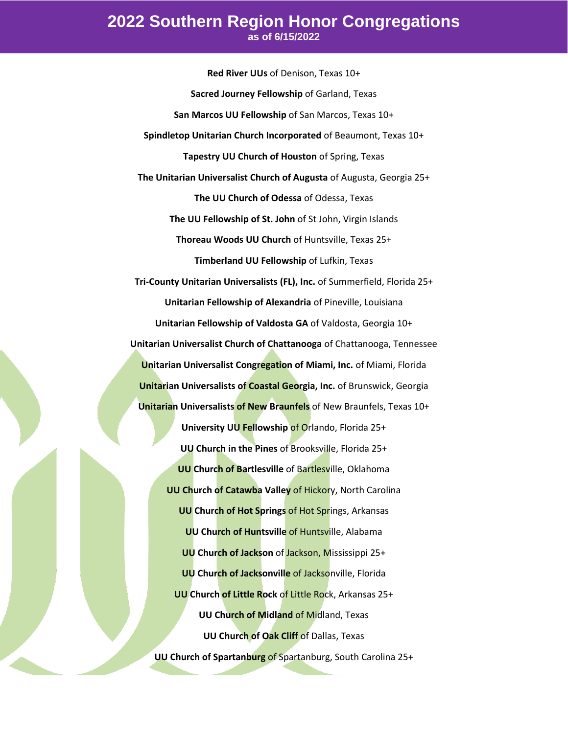**Red River UUs** of Denison, Texas 10+ **Sacred Journey Fellowship** of Garland, Texas **San Marcos UU Fellowship** of San Marcos, Texas 10+ **Spindletop Unitarian Church Incorporated** of Beaumont, Texas 10+ **Tapestry UU Church of Houston** of Spring, Texas **The Unitarian Universalist Church of Augusta** of Augusta, Georgia 25+ **The UU Church of Odessa** of Odessa, Texas **The UU Fellowship of St. John** of St John, Virgin Islands **Thoreau Woods UU Church** of Huntsville, Texas 25+ **Timberland UU Fellowship** of Lufkin, Texas **Tri-County Unitarian Universalists (FL), Inc.** of Summerfield, Florida 25+ **Unitarian Fellowship of Alexandria** of Pineville, Louisiana **Unitarian Fellowship of Valdosta GA** of Valdosta, Georgia 10+ **Unitarian Universalist Church of Chattanooga** of Chattanooga, Tennessee **Unitarian Universalist Congregation of Miami, Inc.** of Miami, Florida **Unitarian Universalists of Coastal Georgia, Inc.** of Brunswick, Georgia **Unitarian Universalists of New Braunfels** of New Braunfels, Texas 10+ **University UU Fellowship** of Orlando, Florida 25+ **UU Church in the Pines** of Brooksville, Florida 25+ **UU** Church of Bartlesville of Bartlesville, Oklahoma **UU Church of Catawba Valley of Hickory, North Carolina UU Church of Hot Springs** of Hot Springs, Arkansas **UU Church of Huntsville** of Huntsville, Alabama **UU Church of Jackson** of Jackson, Mississippi 25+ **UU Church of Jacksonville of Jacksonville, Florida UU Church of Little Rock** of Little Rock, Arkansas 25+ **UU Church of Midland** of Midland, Texas **UU Church of Oak Cliff** of Dallas, Texas **UU Church of Spartanburg** of Spartanburg, South Carolina 25+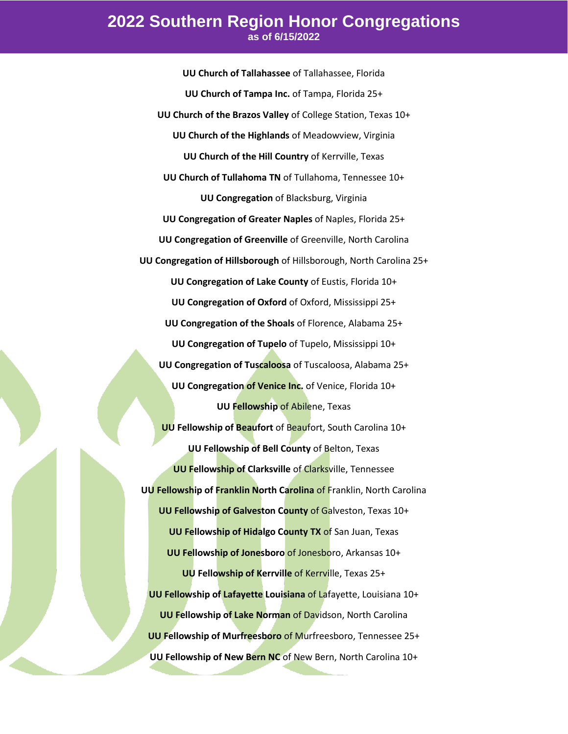**UU Church of Tallahassee** of Tallahassee, Florida **UU Church of Tampa Inc.** of Tampa, Florida 25+ **UU Church of the Brazos Valley** of College Station, Texas 10+ **UU Church of the Highlands** of Meadowview, Virginia **UU Church of the Hill Country** of Kerrville, Texas **UU Church of Tullahoma TN** of Tullahoma, Tennessee 10+ **UU Congregation** of Blacksburg, Virginia **UU Congregation of Greater Naples** of Naples, Florida 25+ **UU Congregation of Greenville** of Greenville, North Carolina **UU Congregation of Hillsborough** of Hillsborough, North Carolina 25+ **UU Congregation of Lake County** of Eustis, Florida 10+ **UU Congregation of Oxford** of Oxford, Mississippi 25+ **UU Congregation of the Shoals** of Florence, Alabama 25+ **UU Congregation of Tupelo** of Tupelo, Mississippi 10+ **UU Congregation of Tuscaloosa** of Tuscaloosa, Alabama 25+ **UU Congregation of Venice Inc.** of Venice, Florida 10+ **UU Fellowship** of Abilene, Texas **UU Fellowship of Beaufort** of Beaufort, South Carolina 10+ **UU Fellowship of Bell County** of Belton, Texas **UU Fellowship of Clarksville** of Clarksville, Tennessee **UU Fellowship of Franklin North Carolina** of Franklin, North Carolina **UU Fellowship of Galveston County** of Galveston, Texas 10+ **UU Fellowship of Hidalgo County TX of San Juan, Texas UU Fellowship of Jonesboro** of Jonesboro, Arkansas 10+ **UU Fellowship of Kerrville** of Kerrville, Texas 25+ **UU Fellowship of Lafayette Louisiana** of Lafayette, Louisiana 10+ **UU Fellowship of Lake Norman** of Davidson, North Carolina **UU Fellowship of Murfreesboro** of Murfreesboro, Tennessee 25+ **UU Fellowship of New Bern NC** of New Bern, North Carolina 10+